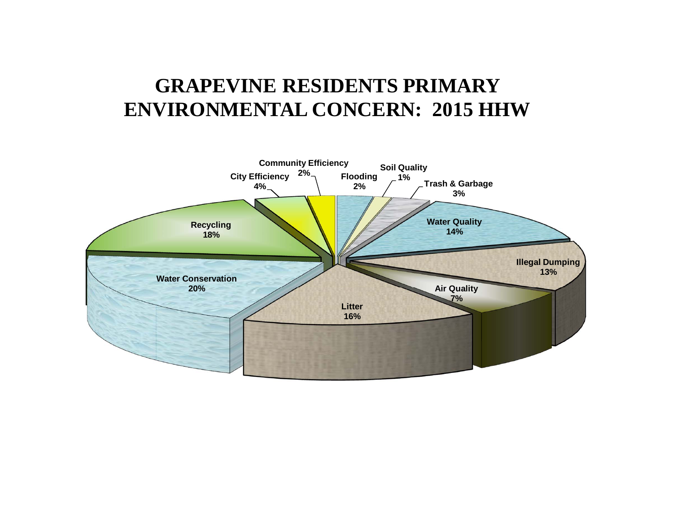# **GRAPEVINE RESIDENTS PRIMARY ENVIRONMENTAL CONCERN: 2015 HHW**

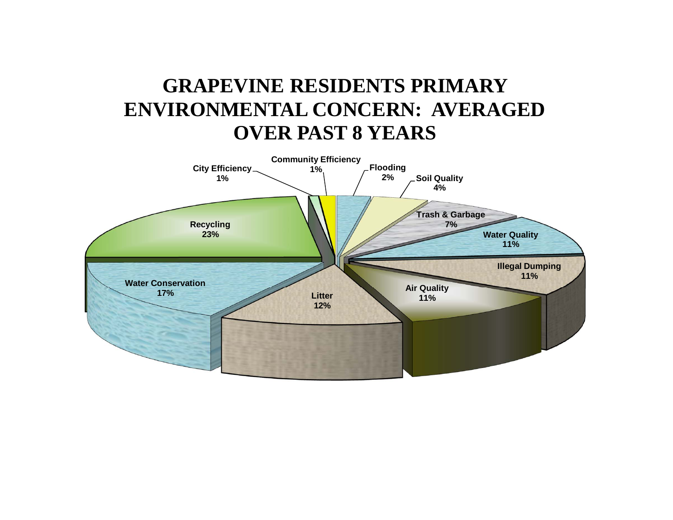# **GRAPEVINE RESIDENTS PRIMARY ENVIRONMENTAL CONCERN: AVERAGED OVER PAST 8 YEARS**

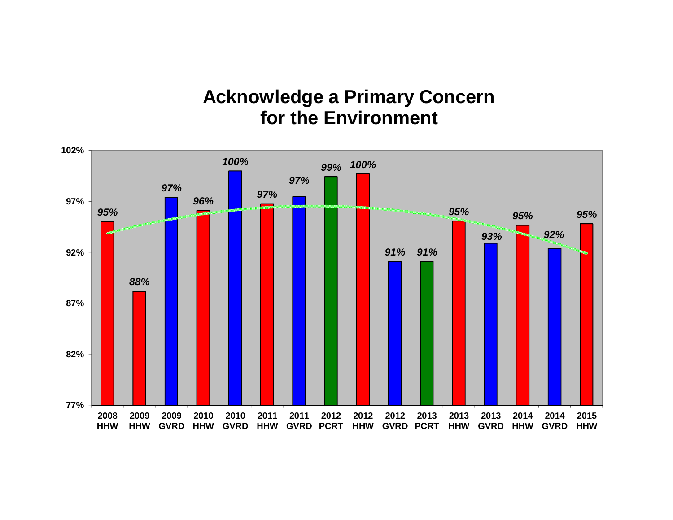# **Acknowledge a Primary Concern for the Environment**

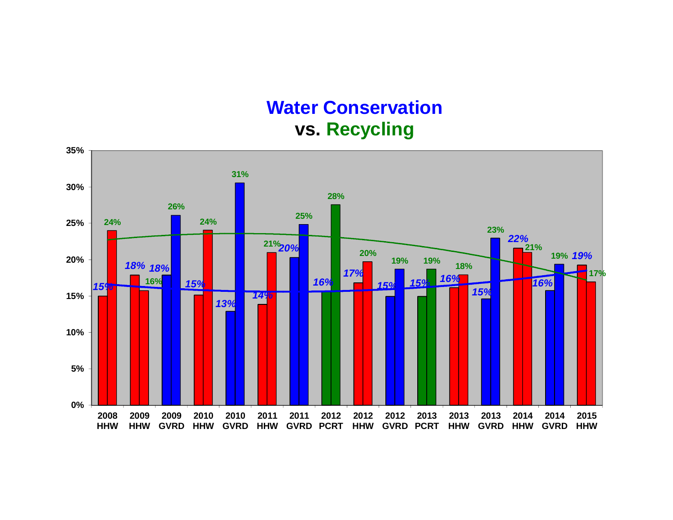## **Water Conservation vs. Recycling**

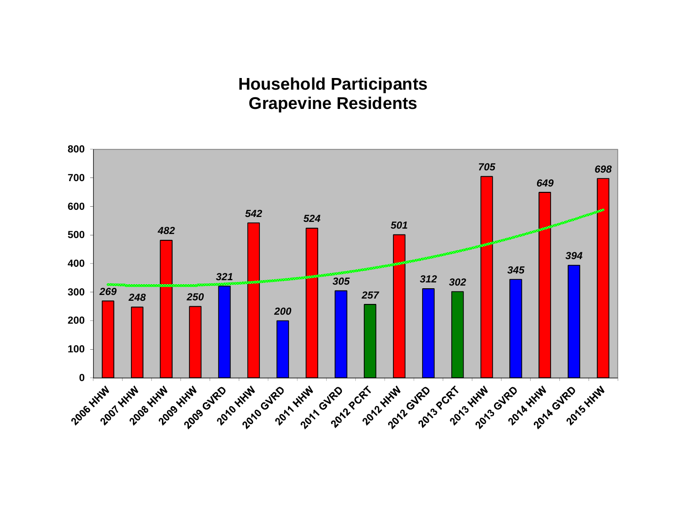#### **Household Participants Grapevine Residents**

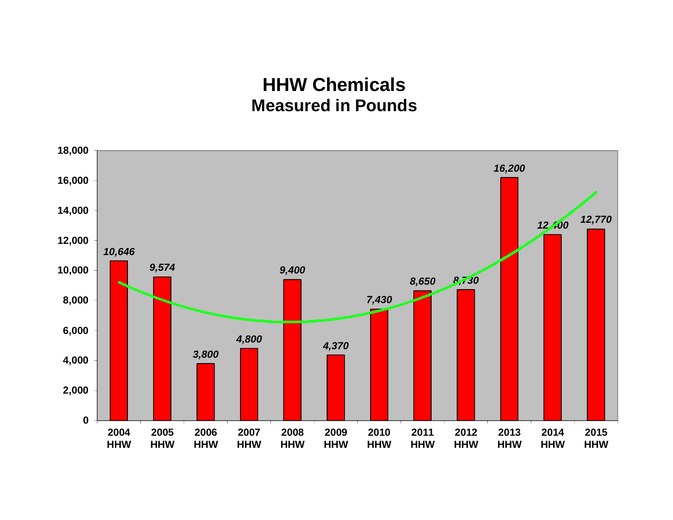# **HHW ChemicalsMeasured in Pounds**

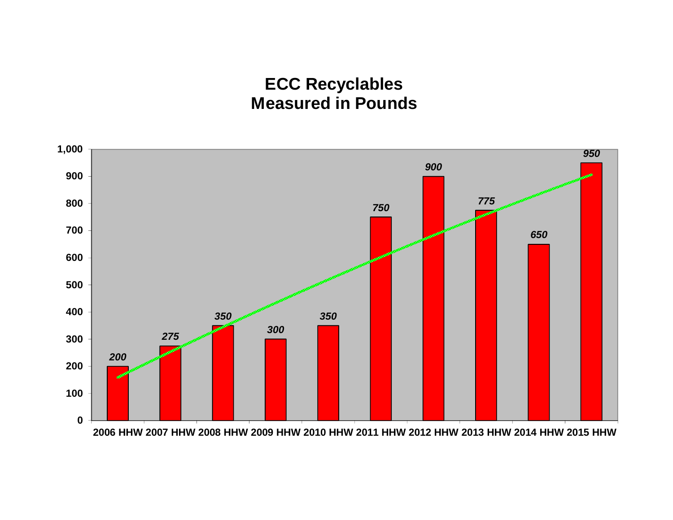#### **ECC Recyclables Measured in Pounds**

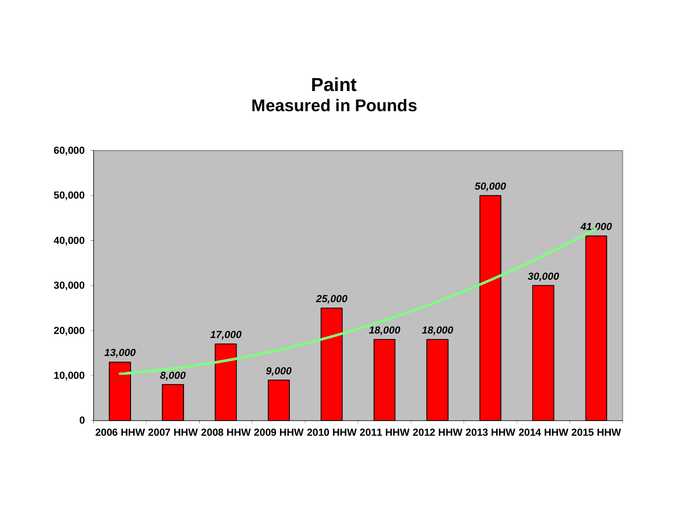### **Paint Measured in Pounds**

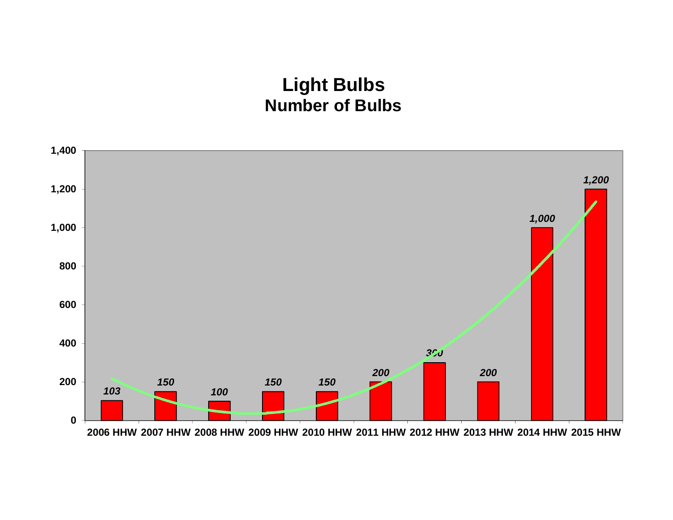# **Light Bulbs Number of Bulbs**

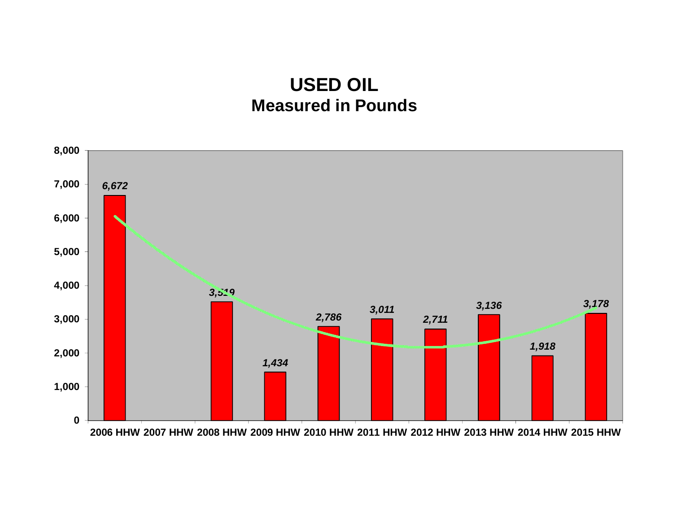## **USED OIL Measured in Pounds**

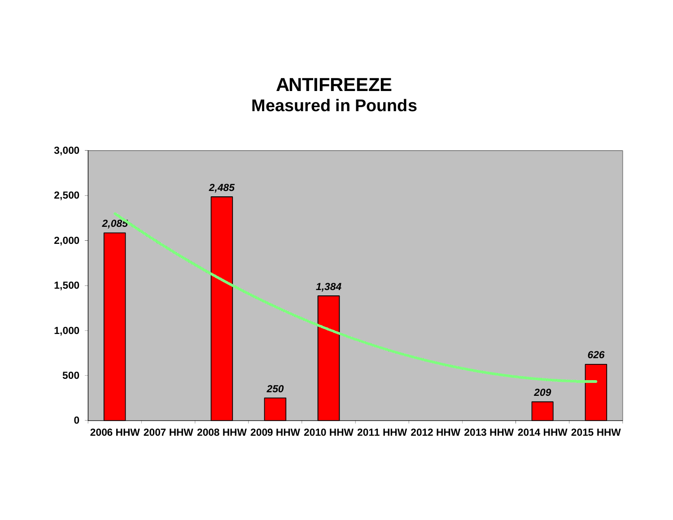## **ANTIFREEZEMeasured in Pounds**

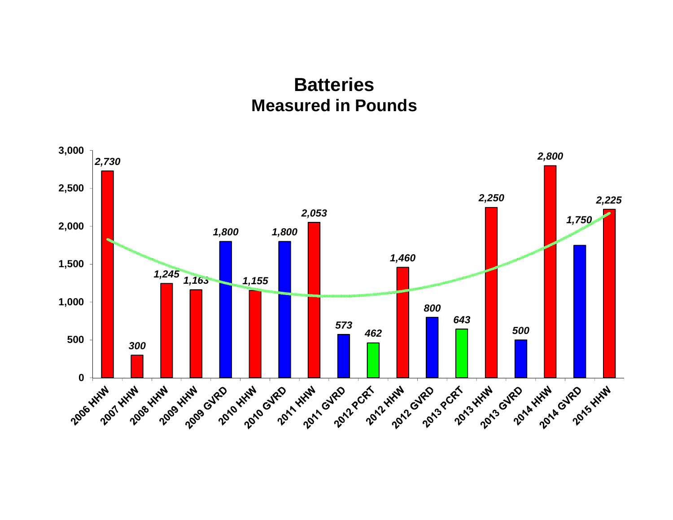### **BatteriesMeasured in Pounds**

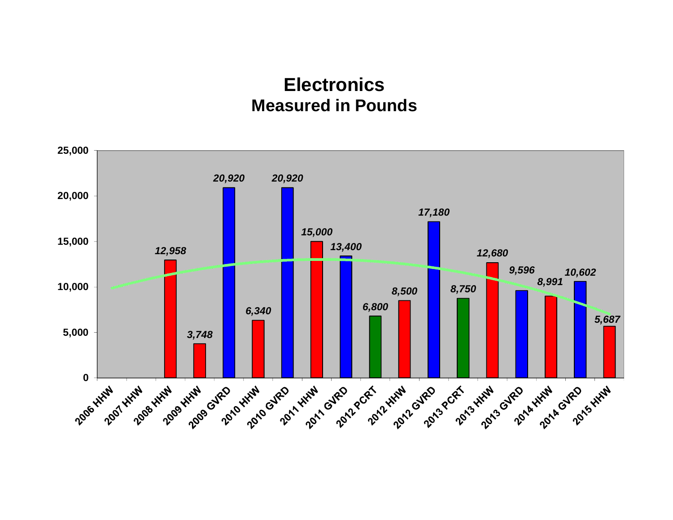### **ElectronicsMeasured in Pounds**

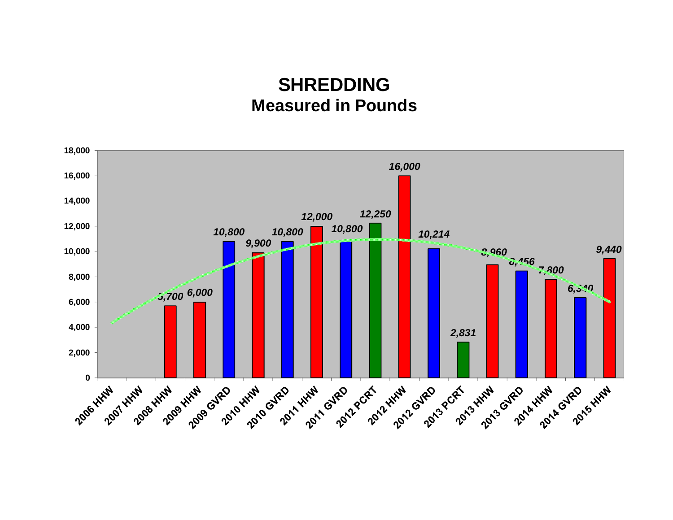## **SHREDDINGMeasured in Pounds**

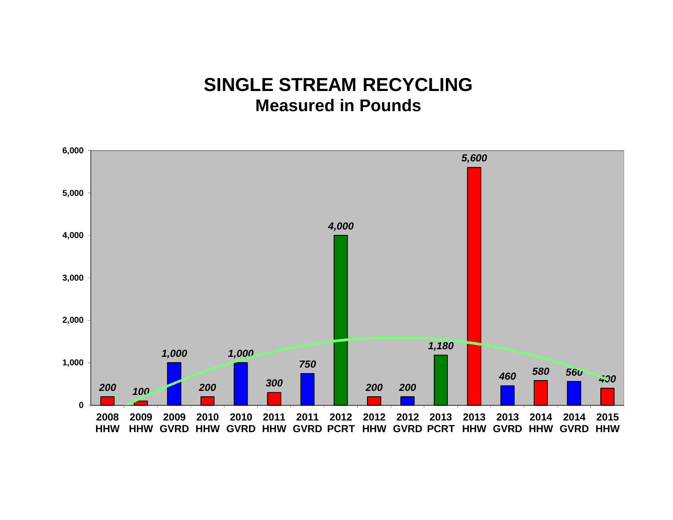## **SINGLE STREAM RECYCLINGMeasured in Pounds**

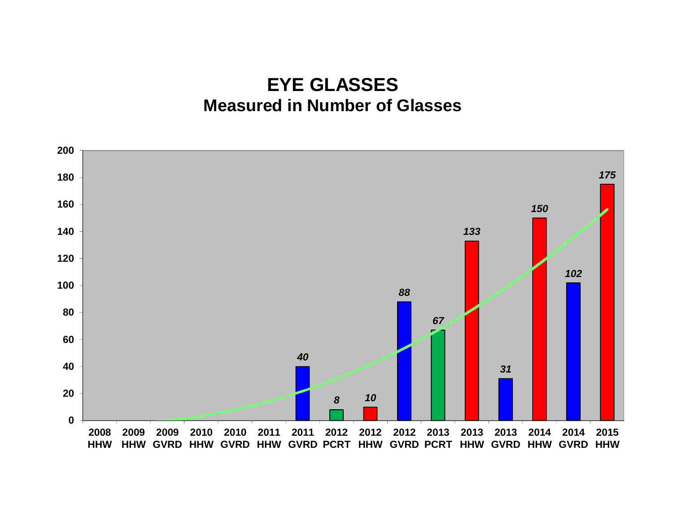### **EYE GLASSES Measured in Number of Glasses**

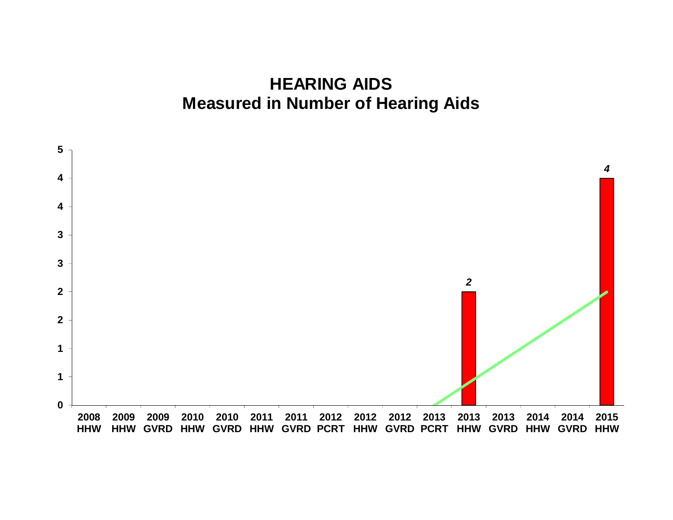#### **HEARING AIDS Measured in Number of Hearing Aids**

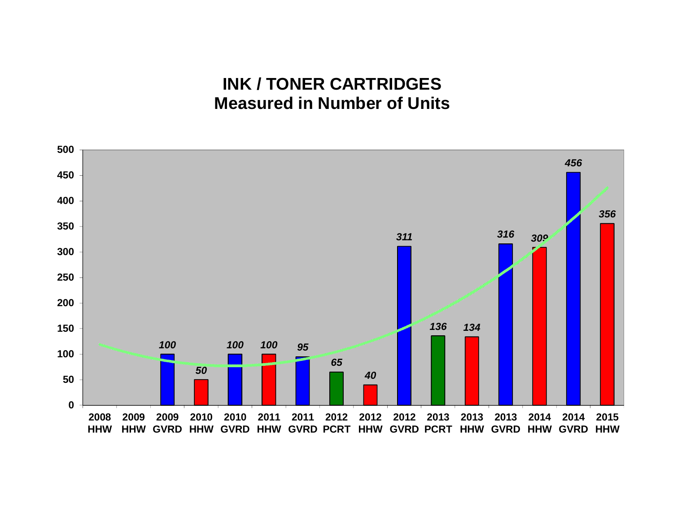#### **INK / TONER CARTRIDGES Measured in Number of Units**

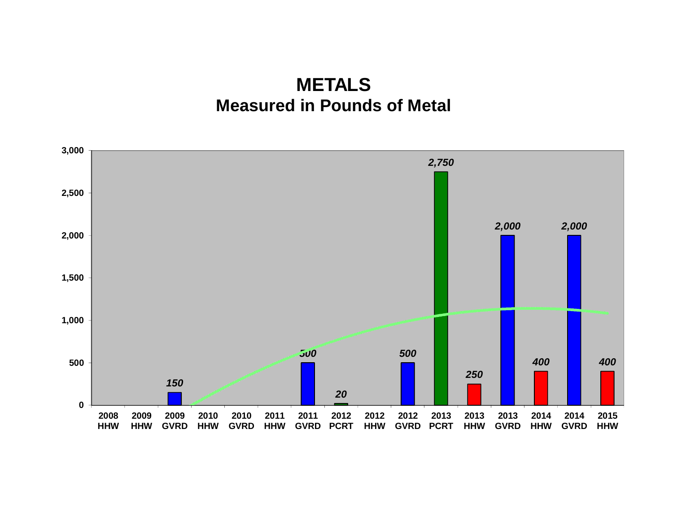## **METALS Measured in Pounds of Metal**

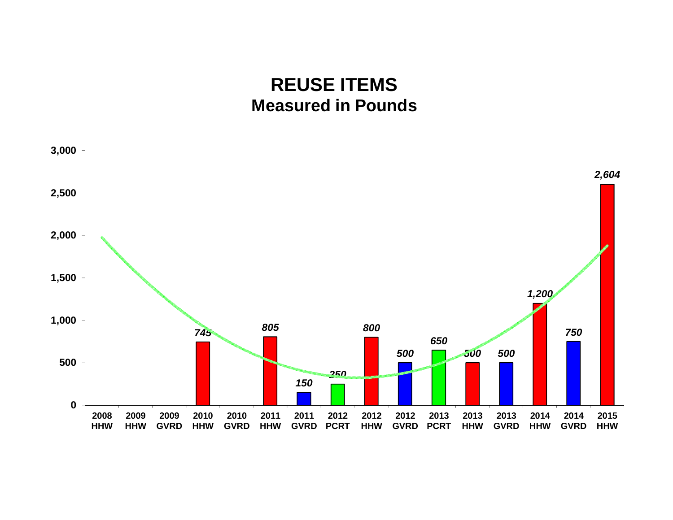### **REUSE ITEMS Measured in Pounds**

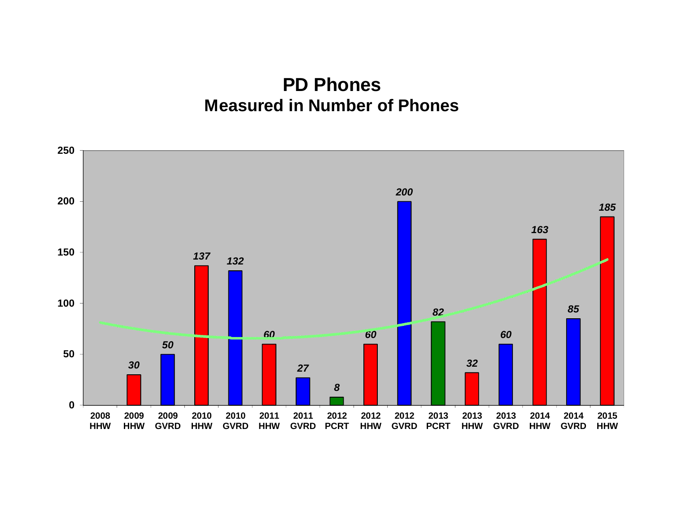#### **PD Phones Measured in Number of Phones**

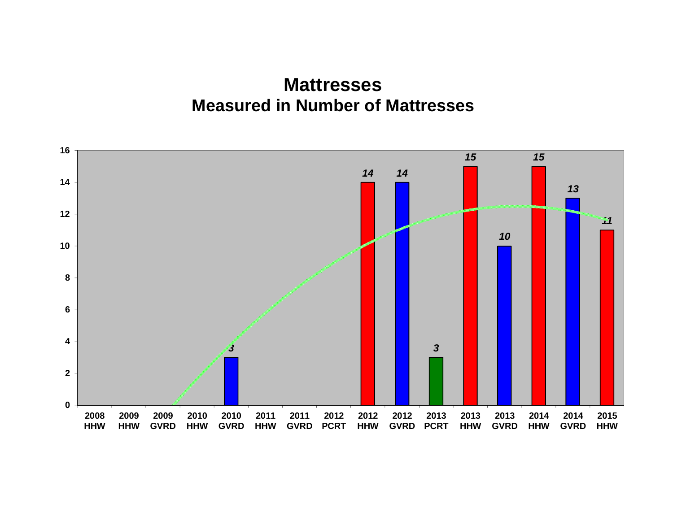#### **Mattresses Measured in Number of Mattresses**

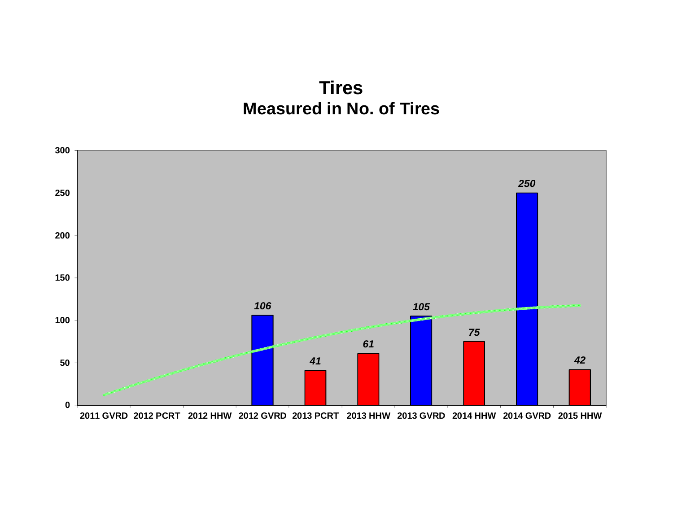